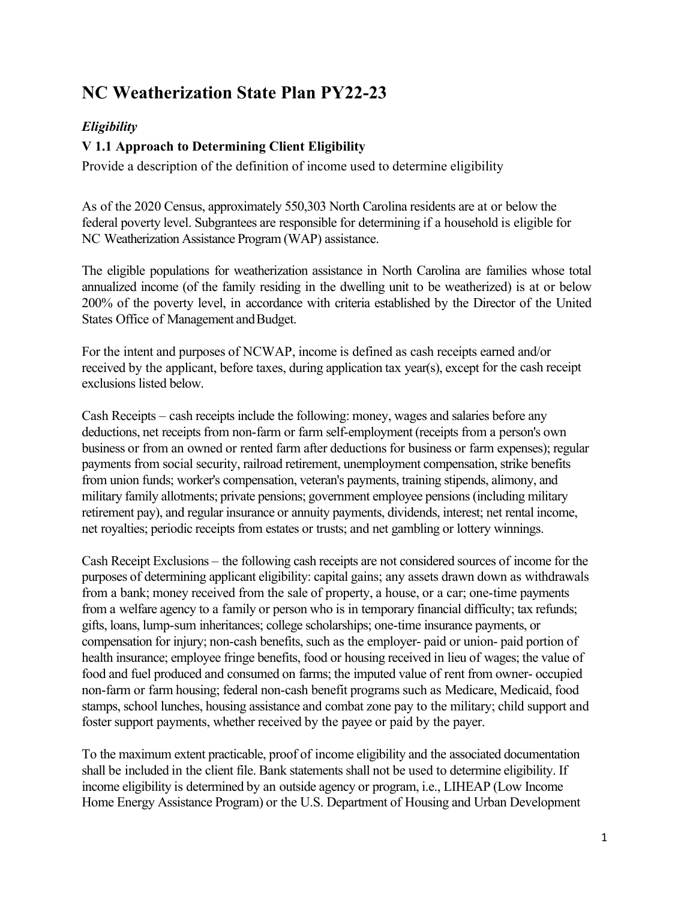# **NC Weatherization State Plan PY22-23**

# *Eligibility*

# **V 1.1 Approach to Determining Client Eligibility**

Provide a description of the definition of income used to determine eligibility

As of the 2020 Census, approximately 550,303 North Carolina residents are at or below the federal poverty level. Subgrantees are responsible for determining if a household is eligible for NC Weatherization Assistance Program (WAP) assistance.

The eligible populations for weatherization assistance in North Carolina are families whose total annualized income (of the family residing in the dwelling unit to be weatherized) is at or below 200% of the poverty level, in accordance with criteria established by the Director of the United States Office of Management and Budget.

For the intent and purposes of NCWAP, income is defined as cash receipts earned and/or received by the applicant, before taxes, during application tax year(s), except for the cash receipt exclusions listed below.

Cash Receipts – cash receipts include the following: money, wages and salaries before any deductions, net receipts from non-farm or farm self-employment (receipts from a person's own business or from an owned or rented farm after deductions for business or farm expenses); regular payments from social security, railroad retirement, unemployment compensation, strike benefits from union funds; worker's compensation, veteran's payments, training stipends, alimony, and military family allotments; private pensions; government employee pensions(including military retirement pay), and regular insurance or annuity payments, dividends, interest; net rental income, net royalties; periodic receipts from estates or trusts; and net gambling or lottery winnings.

Cash Receipt Exclusions – the following cash receipts are not considered sources of income for the purposes of determining applicant eligibility: capital gains; any assets drawn down as withdrawals from a bank; money received from the sale of property, a house, or a car; one-time payments from a welfare agency to a family or person who is in temporary financial difficulty; tax refunds; gifts, loans, lump-sum inheritances; college scholarships; one-time insurance payments, or compensation for injury; non-cash benefits, such as the employer- paid or union- paid portion of health insurance; employee fringe benefits, food or housing received in lieu of wages; the value of food and fuel produced and consumed on farms; the imputed value of rent from owner- occupied non-farm or farm housing; federal non-cash benefit programs such as Medicare, Medicaid, food stamps, school lunches, housing assistance and combat zone pay to the military; child support and foster support payments, whether received by the payee or paid by the payer.

To the maximum extent practicable, proof of income eligibility and the associated documentation shall be included in the client file. Bank statements shall not be used to determine eligibility. If income eligibility is determined by an outside agency or program, i.e., LIHEAP (Low Income Home Energy Assistance Program) or the U.S. Department of Housing and Urban Development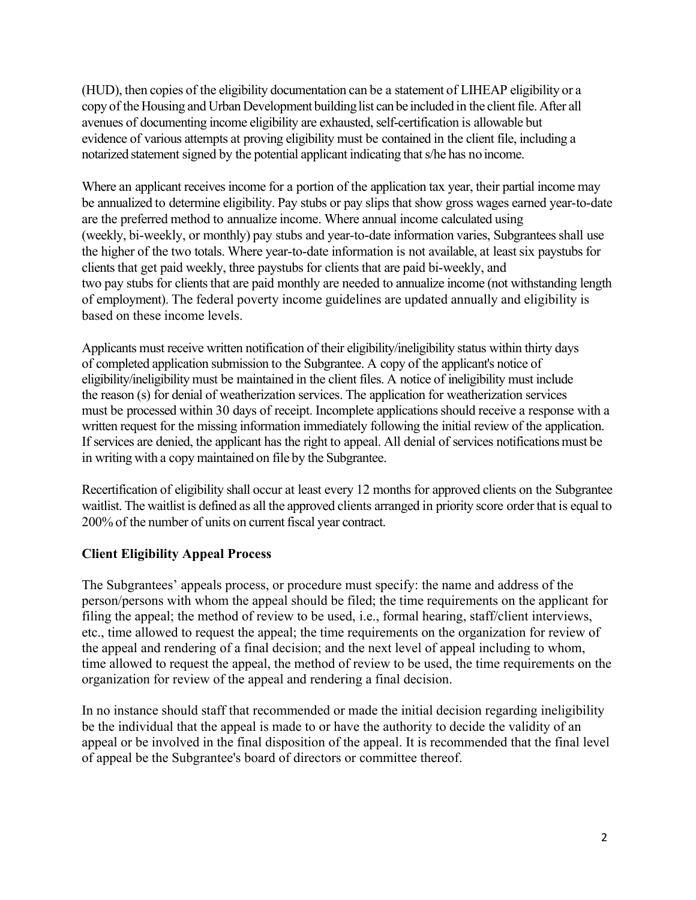(HUD), then copies of the eligibility documentation can be a statement of LIHEAP eligibility or a copy of the Housing and Urban Development building list can be included in the client file. After all avenues of documenting income eligibility are exhausted, self-certification is allowable but evidence of various attempts at proving eligibility must be contained in the client file, including a notarized statement signed by the potential applicant indicating thats/he has no income.

Where an applicant receives income for a portion of the application tax year, their partial income may be annualized to determine eligibility. Pay stubs or pay slips that show gross wages earned year-to-date are the preferred method to annualize income. Where annual income calculated using (weekly, bi-weekly, or monthly) pay stubs and year-to-date information varies, Subgrantees shall use the higher of the two totals. Where year-to-date information is not available, at leastsix paystubs for clients that get paid weekly, three paystubs for clients that are paid bi-weekly, and two pay stubs for clients that are paid monthly are needed to annualize income (not withstanding length of employment). The federal poverty income guidelines are updated annually and eligibility is based on these income levels.

Applicants must receive written notification of their eligibility/ineligibility status within thirty days of completed application submission to the Subgrantee. A copy of the applicant's notice of eligibility/ineligibility must be maintained in the client files. A notice of ineligibility must include the reason (s) for denial of weatherization services. The application for weatherization services must be processed within 30 days of receipt. Incomplete applications should receive a response with a written request for the missing information immediately following the initial review of the application. If services are denied, the applicant has the right to appeal. All denial of services notifications must be in writing with a copy maintained on file by the Subgrantee.

Recertification of eligibility shall occur at least every 12 months for approved clients on the Subgrantee waitlist. The waitlist is defined as all the approved clients arranged in priority score order that is equal to 200% of the number of units on current fiscal year contract.

# **Client Eligibility Appeal Process**

The Subgrantees' appeals process, or procedure must specify: the name and address of the person/persons with whom the appeal should be filed; the time requirements on the applicant for filing the appeal; the method of review to be used, i.e., formal hearing, staff/client interviews, etc., time allowed to request the appeal; the time requirements on the organization for review of the appeal and rendering of a final decision; and the next level of appeal including to whom, time allowed to request the appeal, the method of review to be used, the time requirements on the organization for review of the appeal and rendering a final decision.

In no instance should staff that recommended or made the initial decision regarding ineligibility be the individual that the appeal is made to or have the authority to decide the validity of an appeal or be involved in the final disposition of the appeal. It is recommended that the final level of appeal be the Subgrantee's board of directors or committee thereof.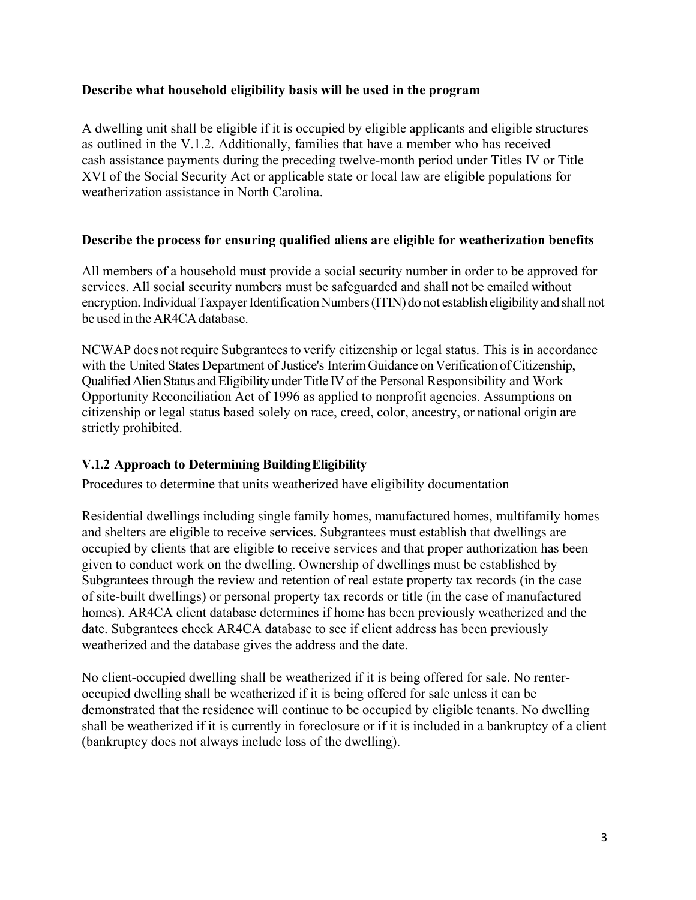#### **Describe what household eligibility basis will be used in the program**

A dwelling unit shall be eligible if it is occupied by eligible applicants and eligible structures as outlined in the V.1.2. Additionally, families that have a member who has received cash assistance payments during the preceding twelve-month period under Titles IV or Title XVI of the Social Security Act or applicable state or local law are eligible populations for weatherization assistance in North Carolina.

#### **Describe the process for ensuring qualified aliens are eligible for weatherization benefits**

All members of a household must provide a social security number in order to be approved for services. All social security numbers must be safeguarded and shall not be emailed without encryption. Individual Taxpayer Identification Numbers (ITIN) do not establish eligibility and shall not be used in the AR4CA database.

NCWAP does not require Subgrantees to verify citizenship or legal status. This is in accordance with the United States Department of Justice's Interim Guidance on Verification of Citizenship, Qualified Alien Status and Eligibility under Title IV of the Personal Responsibility and Work Opportunity Reconciliation Act of 1996 as applied to nonprofit agencies. Assumptions on citizenship or legal status based solely on race, creed, color, ancestry, or national origin are strictly prohibited.

# **V.1.2 Approach to Determining BuildingEligibility**

Procedures to determine that units weatherized have eligibility documentation

Residential dwellings including single family homes, manufactured homes, multifamily homes and shelters are eligible to receive services. Subgrantees must establish that dwellings are occupied by clients that are eligible to receive services and that proper authorization has been given to conduct work on the dwelling. Ownership of dwellings must be established by Subgrantees through the review and retention of real estate property tax records (in the case of site-built dwellings) or personal property tax records or title (in the case of manufactured homes). AR4CA client database determines if home has been previously weatherized and the date. Subgrantees check AR4CA database to see if client address has been previously weatherized and the database gives the address and the date.

No client-occupied dwelling shall be weatherized if it is being offered for sale. No renteroccupied dwelling shall be weatherized if it is being offered for sale unless it can be demonstrated that the residence will continue to be occupied by eligible tenants. No dwelling shall be weatherized if it is currently in foreclosure or if it is included in a bankruptcy of a client (bankruptcy does not always include loss of the dwelling).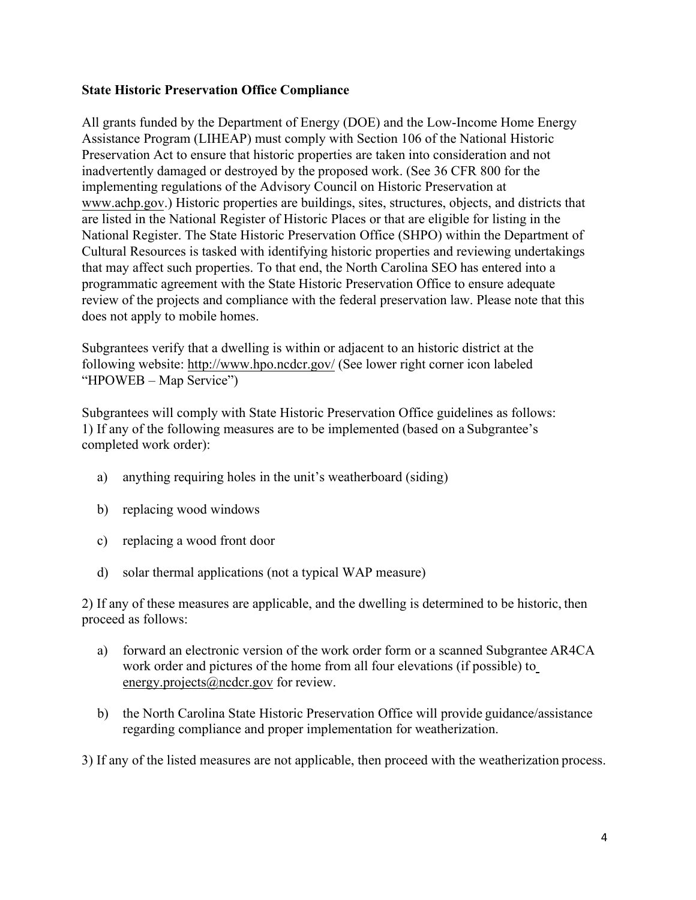#### **State Historic Preservation Office Compliance**

All grants funded by the Department of Energy (DOE) and the Low-Income Home Energy Assistance Program (LIHEAP) must comply with Section 106 of the National Historic Preservation Act to ensure that historic properties are taken into consideration and not inadvertently damaged or destroyed by the proposed work. (See 36 CFR 800 for the implementing regulations of the Advisory Council on Historic Preservation at www.achp.gov.) Historic properties are buildings, sites, structures, objects, and districts that are listed in the National Register of Historic Places or that are eligible for listing in the National Register. The State Historic Preservation Office (SHPO) within the Department of Cultural Resources is tasked with identifying historic properties and reviewing undertakings that may affect such properties. To that end, the North Carolina SEO has entered into a programmatic agreement with the State Historic Preservation Office to ensure adequate review of the projects and compliance with the federal preservation law. Please note that this does not apply to mobile homes.

Subgrantees verify that a dwelling is within or adjacent to an historic district at the following website[: http://www.hpo.ncdcr.gov/](http://www.hpo.ncdcr.gov/) (See lower right corner icon labeled "HPOWEB – Map Service")

Subgrantees will comply with State Historic Preservation Office guidelines as follows: 1) If any of the following measures are to be implemented (based on a Subgrantee's completed work order):

- a) anything requiring holes in the unit's weatherboard (siding)
- b) replacing wood windows
- c) replacing a wood front door
- d) solar thermal applications (not a typical WAP measure)

2) If any of these measures are applicable, and the dwelling is determined to be historic, then proceed as follows:

- a) forward an electronic version of the work order form or a scanned Subgrantee AR4CA work order and pictures of the home from all four elevations (if possible) t[o](mailto:energy.projects@ncdcr.gov) [energy.projects@ncdcr.gov f](mailto:energy.projects@ncdcr.gov)or review.
- b) the North Carolina State Historic Preservation Office will provide guidance/assistance regarding compliance and proper implementation for weatherization.

3) If any of the listed measures are not applicable, then proceed with the weatherization process.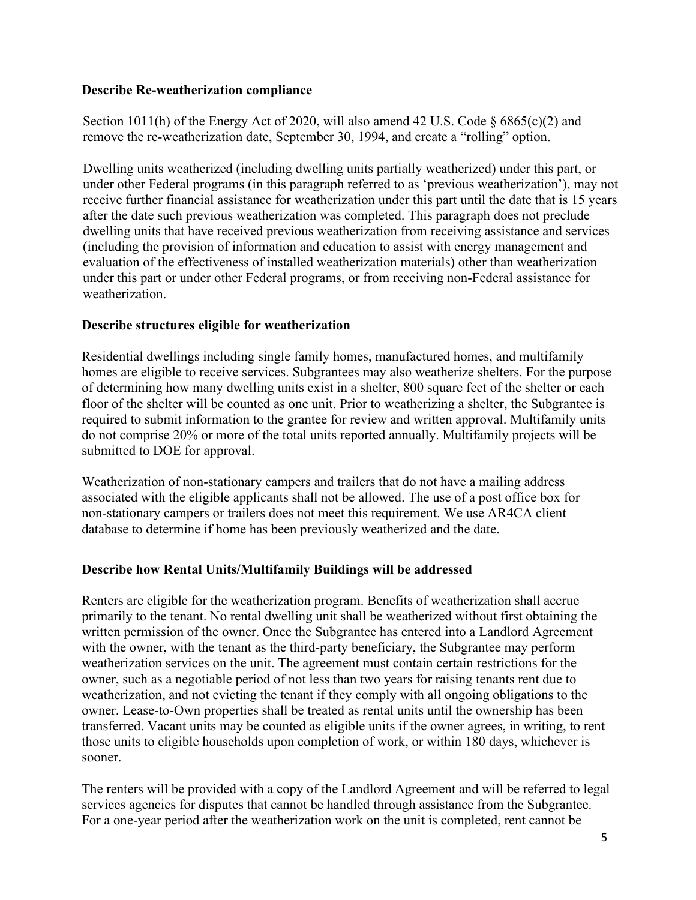#### **Describe Re-weatherization compliance**

Section 1011(h) of the Energy Act of 2020, will also amend 42 U.S. Code  $\S$  6865(c)(2) and remove the re-weatherization date, September 30, 1994, and create a "rolling" option.

Dwelling units weatherized (including dwelling units partially weatherized) under this part, or under other Federal programs (in this paragraph referred to as 'previous weatherization'), may not receive further financial assistance for weatherization under this part until the date that is 15 years after the date such previous weatherization was completed. This paragraph does not preclude dwelling units that have received previous weatherization from receiving assistance and services (including the provision of information and education to assist with energy management and evaluation of the effectiveness of installed weatherization materials) other than weatherization under this part or under other Federal programs, or from receiving non-Federal assistance for weatherization.

#### **Describe structures eligible for weatherization**

Residential dwellings including single family homes, manufactured homes, and multifamily homes are eligible to receive services. Subgrantees may also weatherize shelters. For the purpose of determining how many dwelling units exist in a shelter, 800 square feet of the shelter or each floor of the shelter will be counted as one unit. Prior to weatherizing a shelter, the Subgrantee is required to submit information to the grantee for review and written approval. Multifamily units do not comprise 20% or more of the total units reported annually. Multifamily projects will be submitted to DOE for approval.

Weatherization of non-stationary campers and trailers that do not have a mailing address associated with the eligible applicants shall not be allowed. The use of a post office box for non-stationary campers or trailers does not meet this requirement. We use AR4CA client database to determine if home has been previously weatherized and the date.

# **Describe how Rental Units/Multifamily Buildings will be addressed**

Renters are eligible for the weatherization program. Benefits of weatherization shall accrue primarily to the tenant. No rental dwelling unit shall be weatherized without first obtaining the written permission of the owner. Once the Subgrantee has entered into a Landlord Agreement with the owner, with the tenant as the third-party beneficiary, the Subgrantee may perform weatherization services on the unit. The agreement must contain certain restrictions for the owner, such as a negotiable period of not less than two years for raising tenants rent due to weatherization, and not evicting the tenant if they comply with all ongoing obligations to the owner. Lease-to-Own properties shall be treated as rental units until the ownership has been transferred. Vacant units may be counted as eligible units if the owner agrees, in writing, to rent those units to eligible households upon completion of work, or within 180 days, whichever is sooner.

The renters will be provided with a copy of the Landlord Agreement and will be referred to legal services agencies for disputes that cannot be handled through assistance from the Subgrantee. For a one-year period after the weatherization work on the unit is completed, rent cannot be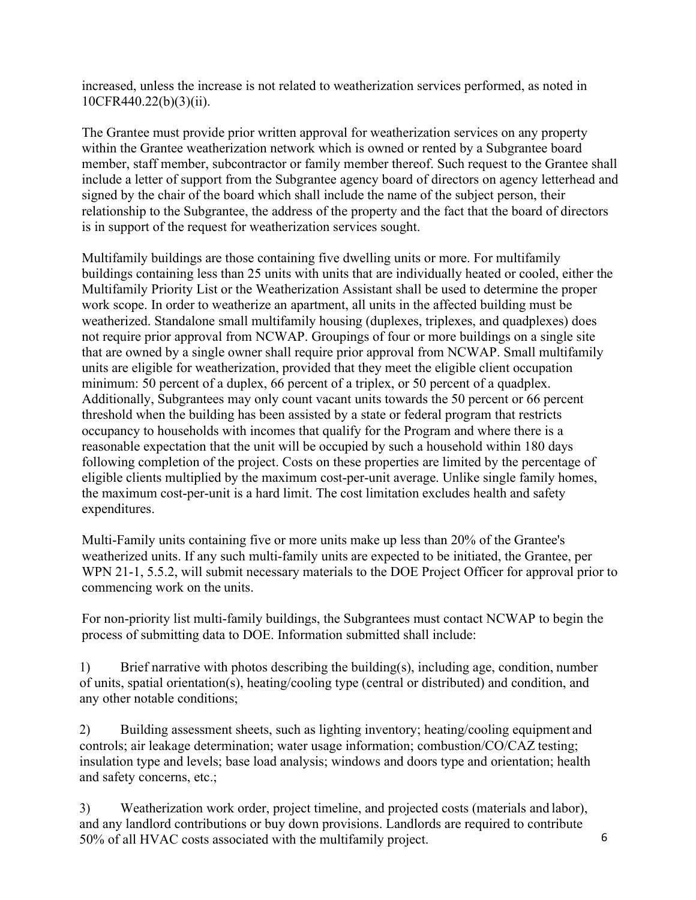increased, unless the increase is not related to weatherization services performed, as noted in 10CFR440.22(b)(3)(ii).

The Grantee must provide prior written approval for weatherization services on any property within the Grantee weatherization network which is owned or rented by a Subgrantee board member, staff member, subcontractor or family member thereof. Such request to the Grantee shall include a letter of support from the Subgrantee agency board of directors on agency letterhead and signed by the chair of the board which shall include the name of the subject person, their relationship to the Subgrantee, the address of the property and the fact that the board of directors is in support of the request for weatherization services sought.

Multifamily buildings are those containing five dwelling units or more. For multifamily buildings containing less than 25 units with units that are individually heated or cooled, either the Multifamily Priority List or the Weatherization Assistant shall be used to determine the proper work scope. In order to weatherize an apartment, all units in the affected building must be weatherized. Standalone small multifamily housing (duplexes, triplexes, and quadplexes) does not require prior approval from NCWAP. Groupings of four or more buildings on a single site that are owned by a single owner shall require prior approval from NCWAP. Small multifamily units are eligible for weatherization, provided that they meet the eligible client occupation minimum: 50 percent of a duplex, 66 percent of a triplex, or 50 percent of a quadplex. Additionally, Subgrantees may only count vacant units towards the 50 percent or 66 percent threshold when the building has been assisted by a state or federal program that restricts occupancy to households with incomes that qualify for the Program and where there is a reasonable expectation that the unit will be occupied by such a household within 180 days following completion of the project. Costs on these properties are limited by the percentage of eligible clients multiplied by the maximum cost-per-unit average. Unlike single family homes, the maximum cost-per-unit is a hard limit. The cost limitation excludes health and safety expenditures.

Multi-Family units containing five or more units make up less than 20% of the Grantee's weatherized units. If any such multi-family units are expected to be initiated, the Grantee, per WPN 21-1, 5.5.2, will submit necessary materials to the DOE Project Officer for approval prior to commencing work on the units.

For non-priority list multi-family buildings, the Subgrantees must contact NCWAP to begin the process of submitting data to DOE. Information submitted shall include:

1) Brief narrative with photos describing the building(s), including age, condition, number of units, spatial orientation(s), heating/cooling type (central or distributed) and condition, and any other notable conditions;

2) Building assessment sheets, such as lighting inventory; heating/cooling equipment and controls; air leakage determination; water usage information; combustion/CO/CAZ testing; insulation type and levels; base load analysis; windows and doors type and orientation; health and safety concerns, etc.;

3) Weatherization work order, project timeline, and projected costs (materials and labor), and any landlord contributions or buy down provisions. Landlords are required to contribute 50% of all HVAC costs associated with the multifamily project.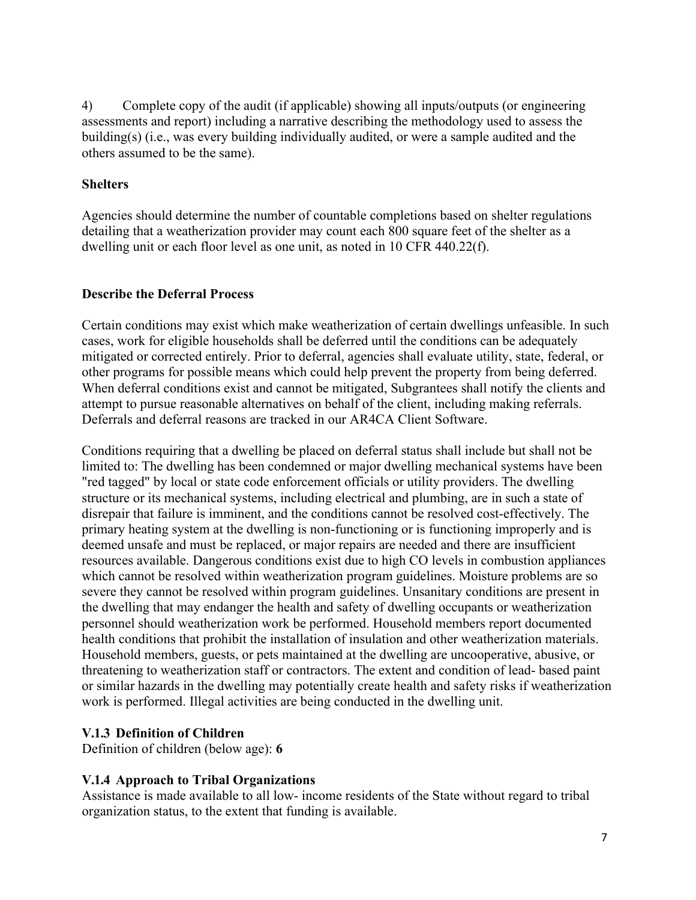4) Complete copy of the audit (if applicable) showing all inputs/outputs (or engineering assessments and report) including a narrative describing the methodology used to assess the building(s) (i.e., was every building individually audited, or were a sample audited and the others assumed to be the same).

#### **Shelters**

Agencies should determine the number of countable completions based on shelter regulations detailing that a weatherization provider may count each 800 square feet of the shelter as a dwelling unit or each floor level as one unit, as noted in 10 CFR 440.22(f).

#### **Describe the Deferral Process**

Certain conditions may exist which make weatherization of certain dwellings unfeasible. In such cases, work for eligible households shall be deferred until the conditions can be adequately mitigated or corrected entirely. Prior to deferral, agencies shall evaluate utility, state, federal, or other programs for possible means which could help prevent the property from being deferred. When deferral conditions exist and cannot be mitigated, Subgrantees shall notify the clients and attempt to pursue reasonable alternatives on behalf of the client, including making referrals. Deferrals and deferral reasons are tracked in our AR4CA Client Software.

Conditions requiring that a dwelling be placed on deferral status shall include but shall not be limited to: The dwelling has been condemned or major dwelling mechanical systems have been "red tagged" by local or state code enforcement officials or utility providers. The dwelling structure or its mechanical systems, including electrical and plumbing, are in such a state of disrepair that failure is imminent, and the conditions cannot be resolved cost-effectively. The primary heating system at the dwelling is non-functioning or is functioning improperly and is deemed unsafe and must be replaced, or major repairs are needed and there are insufficient resources available. Dangerous conditions exist due to high CO levels in combustion appliances which cannot be resolved within weatherization program guidelines. Moisture problems are so severe they cannot be resolved within program guidelines. Unsanitary conditions are present in the dwelling that may endanger the health and safety of dwelling occupants or weatherization personnel should weatherization work be performed. Household members report documented health conditions that prohibit the installation of insulation and other weatherization materials. Household members, guests, or pets maintained at the dwelling are uncooperative, abusive, or threatening to weatherization staff or contractors. The extent and condition of lead- based paint or similar hazards in the dwelling may potentially create health and safety risks if weatherization work is performed. Illegal activities are being conducted in the dwelling unit.

# **V.1.3 Definition of Children**

Definition of children (below age): **6** 

# **V.1.4 Approach to Tribal Organizations**

Assistance is made available to all low- income residents of the State without regard to tribal organization status, to the extent that funding is available.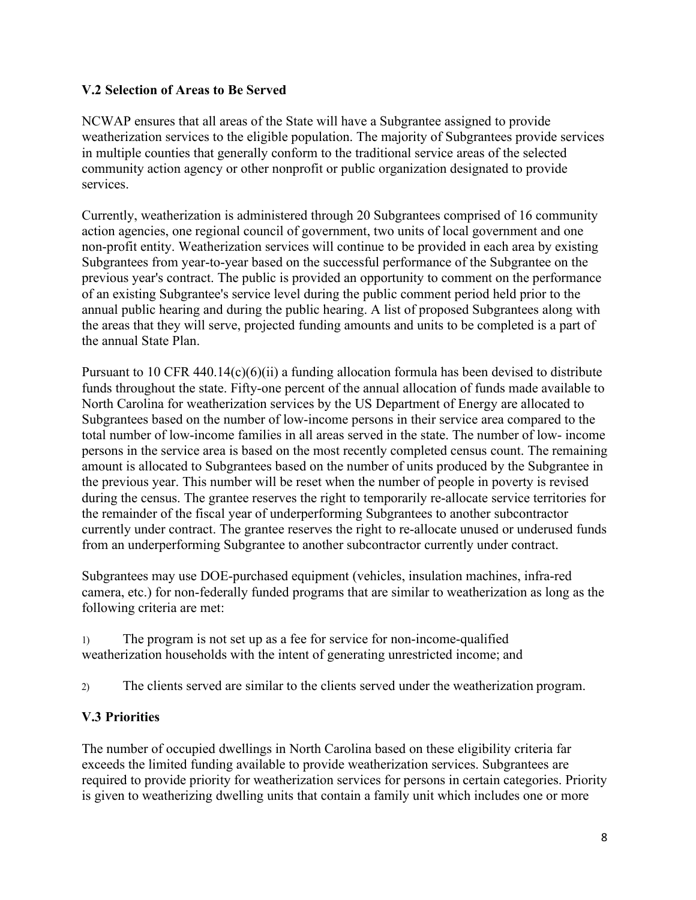# **V.2 Selection of Areas to Be Served**

NCWAP ensures that all areas of the State will have a Subgrantee assigned to provide weatherization services to the eligible population. The majority of Subgrantees provide services in multiple counties that generally conform to the traditional service areas of the selected community action agency or other nonprofit or public organization designated to provide services.

Currently, weatherization is administered through 20 Subgrantees comprised of 16 community action agencies, one regional council of government, two units of local government and one non-profit entity. Weatherization services will continue to be provided in each area by existing Subgrantees from year-to-year based on the successful performance of the Subgrantee on the previous year's contract. The public is provided an opportunity to comment on the performance of an existing Subgrantee's service level during the public comment period held prior to the annual public hearing and during the public hearing. A list of proposed Subgrantees along with the areas that they will serve, projected funding amounts and units to be completed is a part of the annual State Plan.

Pursuant to 10 CFR 440.14(c)(6)(ii) a funding allocation formula has been devised to distribute funds throughout the state. Fifty-one percent of the annual allocation of funds made available to North Carolina for weatherization services by the US Department of Energy are allocated to Subgrantees based on the number of low-income persons in their service area compared to the total number of low-income families in all areas served in the state. The number of low- income persons in the service area is based on the most recently completed census count. The remaining amount is allocated to Subgrantees based on the number of units produced by the Subgrantee in the previous year. This number will be reset when the number of people in poverty is revised during the census. The grantee reserves the right to temporarily re-allocate service territories for the remainder of the fiscal year of underperforming Subgrantees to another subcontractor currently under contract. The grantee reserves the right to re-allocate unused or underused funds from an underperforming Subgrantee to another subcontractor currently under contract.

Subgrantees may use DOE-purchased equipment (vehicles, insulation machines, infra-red camera, etc.) for non-federally funded programs that are similar to weatherization as long as the following criteria are met:

1) The program is not set up as a fee for service for non-income-qualified weatherization households with the intent of generating unrestricted income; and

2) The clients served are similar to the clients served under the weatherization program.

# **V.3 Priorities**

The number of occupied dwellings in North Carolina based on these eligibility criteria far exceeds the limited funding available to provide weatherization services. Subgrantees are required to provide priority for weatherization services for persons in certain categories. Priority is given to weatherizing dwelling units that contain a family unit which includes one or more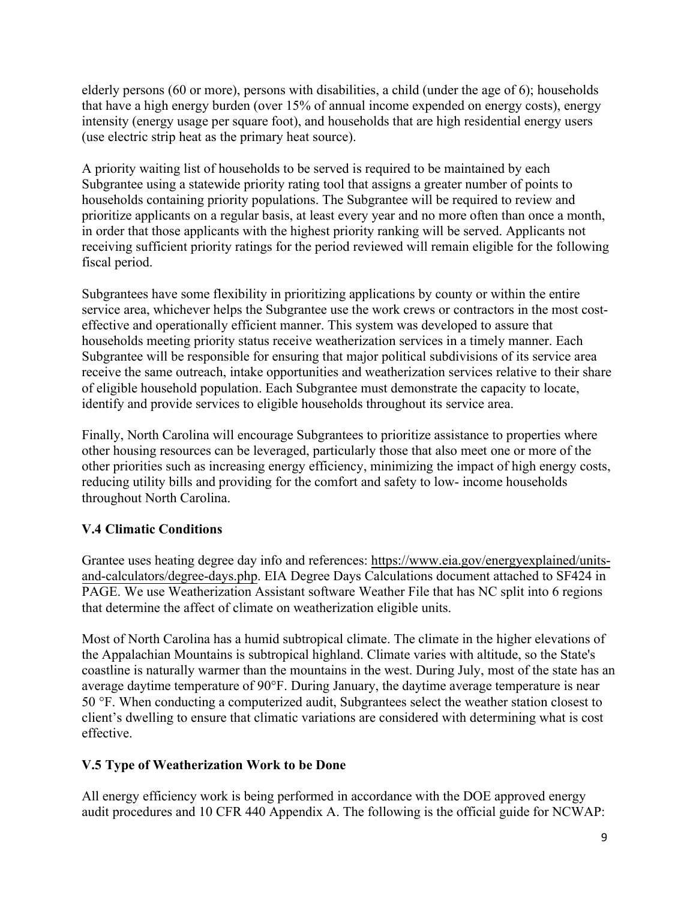elderly persons (60 or more), persons with disabilities, a child (under the age of 6); households that have a high energy burden (over 15% of annual income expended on energy costs), energy intensity (energy usage per square foot), and households that are high residential energy users (use electric strip heat as the primary heat source).

A priority waiting list of households to be served is required to be maintained by each Subgrantee using a statewide priority rating tool that assigns a greater number of points to households containing priority populations. The Subgrantee will be required to review and prioritize applicants on a regular basis, at least every year and no more often than once a month, in order that those applicants with the highest priority ranking will be served. Applicants not receiving sufficient priority ratings for the period reviewed will remain eligible for the following fiscal period.

Subgrantees have some flexibility in prioritizing applications by county or within the entire service area, whichever helps the Subgrantee use the work crews or contractors in the most costeffective and operationally efficient manner. This system was developed to assure that households meeting priority status receive weatherization services in a timely manner. Each Subgrantee will be responsible for ensuring that major political subdivisions of its service area receive the same outreach, intake opportunities and weatherization services relative to their share of eligible household population. Each Subgrantee must demonstrate the capacity to locate, identify and provide services to eligible households throughout its service area.

Finally, North Carolina will encourage Subgrantees to prioritize assistance to properties where other housing resources can be leveraged, particularly those that also meet one or more of the other priorities such as increasing energy efficiency, minimizing the impact of high energy costs, reducing utility bills and providing for the comfort and safety to low- income households throughout North Carolina.

# **V.4 Climatic Conditions**

Grantee uses heating degree day info and references: [https://www.eia.gov/energyexplained/units](https://www.eia.gov/energyexplained/units-and-calculators/degree-days.php)[and-calculators/degree-days.php](https://www.eia.gov/energyexplained/units-and-calculators/degree-days.php). EIA Degree Days Calculations document attached to SF424 in PAGE. We use Weatherization Assistant software Weather File that has NC split into 6 regions that determine the affect of climate on weatherization eligible units.

Most of North Carolina has a humid subtropical climate. The climate in the higher elevations of the Appalachian Mountains is subtropical highland. Climate varies with altitude, so the State's coastline is naturally warmer than the mountains in the west. During July, most of the state has an average daytime temperature of 90°F. During January, the daytime average temperature is near 50 °F. When conducting a computerized audit, Subgrantees select the weather station closest to client's dwelling to ensure that climatic variations are considered with determining what is cost effective.

# **V.5 Type of Weatherization Work to be Done**

All energy efficiency work is being performed in accordance with the DOE approved energy audit procedures and 10 CFR 440 Appendix A. The following is the official guide for NCWAP: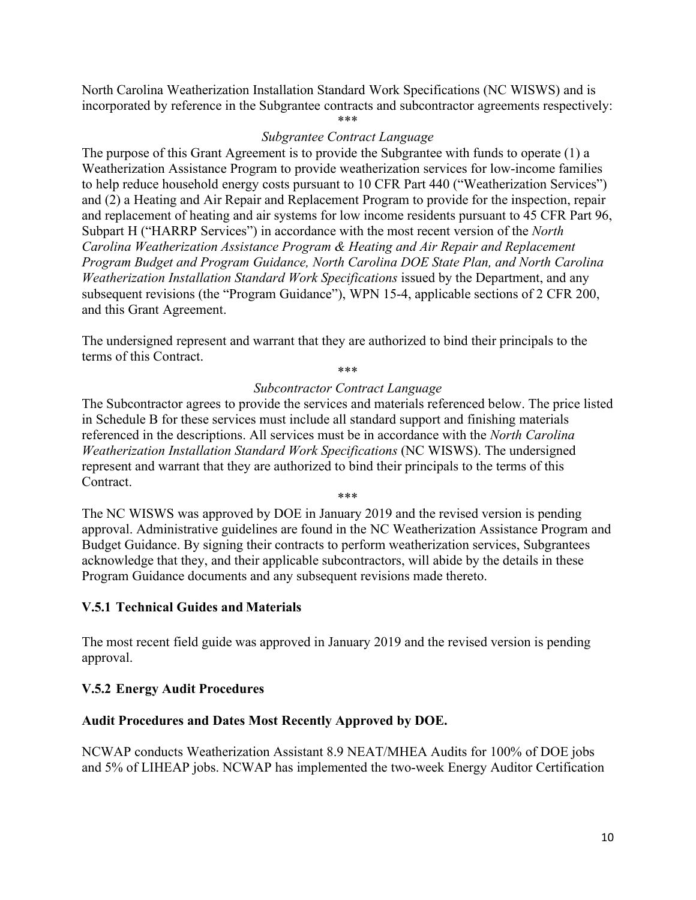North Carolina Weatherization Installation Standard Work Specifications (NC WISWS) and is incorporated by reference in the Subgrantee contracts and subcontractor agreements respectively:

\*\*\*

#### *Subgrantee Contract Language*

The purpose of this Grant Agreement is to provide the Subgrantee with funds to operate (1) a Weatherization Assistance Program to provide weatherization services for low-income families to help reduce household energy costs pursuant to 10 CFR Part 440 ("Weatherization Services") and (2) a Heating and Air Repair and Replacement Program to provide for the inspection, repair and replacement of heating and air systems for low income residents pursuant to 45 CFR Part 96, Subpart H ("HARRP Services") in accordance with the most recent version of the *North Carolina Weatherization Assistance Program & Heating and Air Repair and Replacement Program Budget and Program Guidance, North Carolina DOE State Plan, and North Carolina Weatherization Installation Standard Work Specifications* issued by the Department, and any subsequent revisions (the "Program Guidance"), WPN 15-4, applicable sections of 2 CFR 200, and this Grant Agreement.

The undersigned represent and warrant that they are authorized to bind their principals to the terms of this Contract.

\*\*\*

#### *Subcontractor Contract Language*

The Subcontractor agrees to provide the services and materials referenced below. The price listed in Schedule B for these services must include all standard support and finishing materials referenced in the descriptions. All services must be in accordance with the *North Carolina Weatherization Installation Standard Work Specifications* (NC WISWS). The undersigned represent and warrant that they are authorized to bind their principals to the terms of this Contract.

\*\*\*

The NC WISWS was approved by DOE in January 2019 and the revised version is pending approval. Administrative guidelines are found in the NC Weatherization Assistance Program and Budget Guidance. By signing their contracts to perform weatherization services, Subgrantees acknowledge that they, and their applicable subcontractors, will abide by the details in these Program Guidance documents and any subsequent revisions made thereto.

#### **V.5.1 Technical Guides and Materials**

The most recent field guide was approved in January 2019 and the revised version is pending approval.

# **V.5.2 Energy Audit Procedures**

#### **Audit Procedures and Dates Most Recently Approved by DOE.**

NCWAP conducts Weatherization Assistant 8.9 NEAT/MHEA Audits for 100% of DOE jobs and 5% of LIHEAP jobs. NCWAP has implemented the two-week Energy Auditor Certification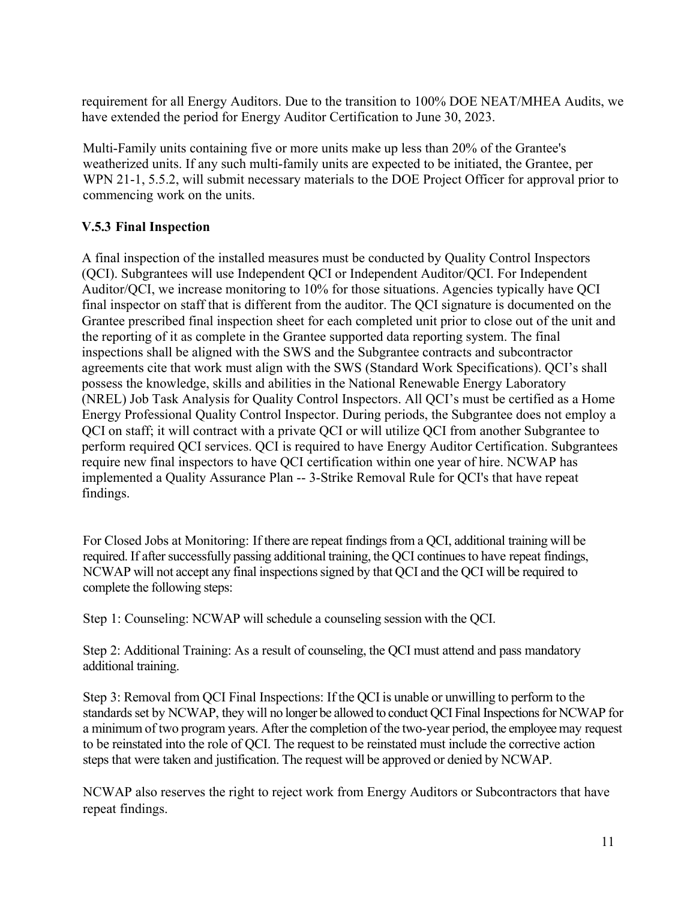requirement for all Energy Auditors. Due to the transition to 100% DOE NEAT/MHEA Audits, we have extended the period for Energy Auditor Certification to June 30, 2023.

Multi-Family units containing five or more units make up less than 20% of the Grantee's weatherized units. If any such multi-family units are expected to be initiated, the Grantee, per WPN 21-1, 5.5.2, will submit necessary materials to the DOE Project Officer for approval prior to commencing work on the units.

# **V.5.3 Final Inspection**

A final inspection of the installed measures must be conducted by Quality Control Inspectors (QCI). Subgrantees will use Independent QCI or Independent Auditor/QCI. For Independent Auditor/QCI, we increase monitoring to 10% for those situations. Agencies typically have QCI final inspector on staff that is different from the auditor. The QCI signature is documented on the Grantee prescribed final inspection sheet for each completed unit prior to close out of the unit and the reporting of it as complete in the Grantee supported data reporting system. The final inspections shall be aligned with the SWS and the Subgrantee contracts and subcontractor agreements cite that work must align with the SWS (Standard Work Specifications). QCI's shall possess the knowledge, skills and abilities in the National Renewable Energy Laboratory (NREL) Job Task Analysis for Quality Control Inspectors. All QCI's must be certified as a Home Energy Professional Quality Control Inspector. During periods, the Subgrantee does not employ a QCI on staff; it will contract with a private QCI or will utilize QCI from another Subgrantee to perform required QCI services. QCI is required to have Energy Auditor Certification. Subgrantees require new final inspectors to have QCI certification within one year of hire. NCWAP has implemented a Quality Assurance Plan -- 3-Strike Removal Rule for QCI's that have repeat findings.

For Closed Jobs at Monitoring: If there are repeat findings from a QCI, additional training will be required. If after successfully passing additional training, the QCI continues to have repeat findings, NCWAP will not accept any final inspections signed by that QCI and the QCI will be required to complete the following steps:

Step 1: Counseling: NCWAP will schedule a counseling session with the QCI.

Step 2: Additional Training: As a result of counseling, the QCI must attend and pass mandatory additional training.

Step 3: Removal from QCI Final Inspections: If the QCI is unable or unwilling to perform to the standards set by NCWAP, they will no longer be allowed to conduct QCI Final Inspections for NCWAP for a minimum of two program years. After the completion of the two-year period, the employeemay request to be reinstated into the role of QCI. The request to be reinstated must include the corrective action steps that were taken and justification. The request will be approved or denied by NCWAP.

NCWAP also reserves the right to reject work from Energy Auditors or Subcontractors that have repeat findings.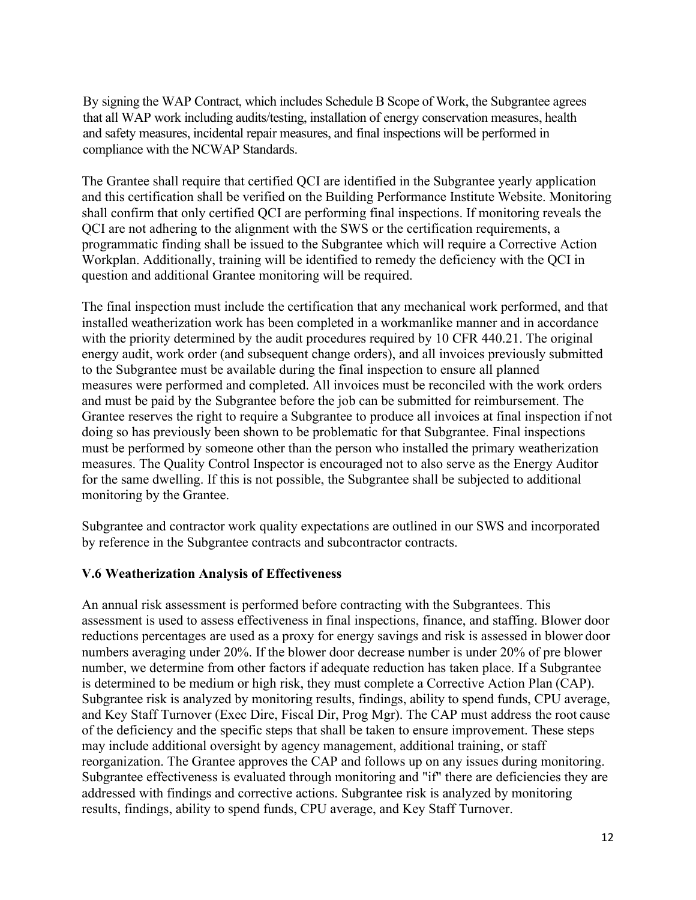By signing the WAP Contract, which includes Schedule B Scope of Work, the Subgrantee agrees that all WAP work including audits/testing, installation of energy conservation measures, health and safety measures, incidental repair measures, and final inspections will be performed in compliance with the NCWAP Standards.

The Grantee shall require that certified QCI are identified in the Subgrantee yearly application and this certification shall be verified on the Building Performance Institute Website. Monitoring shall confirm that only certified QCI are performing final inspections. If monitoring reveals the QCI are not adhering to the alignment with the SWS or the certification requirements, a programmatic finding shall be issued to the Subgrantee which will require a Corrective Action Workplan. Additionally, training will be identified to remedy the deficiency with the QCI in question and additional Grantee monitoring will be required.

The final inspection must include the certification that any mechanical work performed, and that installed weatherization work has been completed in a workmanlike manner and in accordance with the priority determined by the audit procedures required by 10 CFR 440.21. The original energy audit, work order (and subsequent change orders), and all invoices previously submitted to the Subgrantee must be available during the final inspection to ensure all planned measures were performed and completed. All invoices must be reconciled with the work orders and must be paid by the Subgrantee before the job can be submitted for reimbursement. The Grantee reserves the right to require a Subgrantee to produce all invoices at final inspection if not doing so has previously been shown to be problematic for that Subgrantee. Final inspections must be performed by someone other than the person who installed the primary weatherization measures. The Quality Control Inspector is encouraged not to also serve as the Energy Auditor for the same dwelling. If this is not possible, the Subgrantee shall be subjected to additional monitoring by the Grantee.

Subgrantee and contractor work quality expectations are outlined in our SWS and incorporated by reference in the Subgrantee contracts and subcontractor contracts.

#### **V.6 Weatherization Analysis of Effectiveness**

An annual risk assessment is performed before contracting with the Subgrantees. This assessment is used to assess effectiveness in final inspections, finance, and staffing. Blower door reductions percentages are used as a proxy for energy savings and risk is assessed in blower door numbers averaging under 20%. If the blower door decrease number is under 20% of pre blower number, we determine from other factors if adequate reduction has taken place. If a Subgrantee is determined to be medium or high risk, they must complete a Corrective Action Plan (CAP). Subgrantee risk is analyzed by monitoring results, findings, ability to spend funds, CPU average, and Key Staff Turnover (Exec Dire, Fiscal Dir, Prog Mgr). The CAP must address the root cause of the deficiency and the specific steps that shall be taken to ensure improvement. These steps may include additional oversight by agency management, additional training, or staff reorganization. The Grantee approves the CAP and follows up on any issues during monitoring. Subgrantee effectiveness is evaluated through monitoring and "if" there are deficiencies they are addressed with findings and corrective actions. Subgrantee risk is analyzed by monitoring results, findings, ability to spend funds, CPU average, and Key Staff Turnover.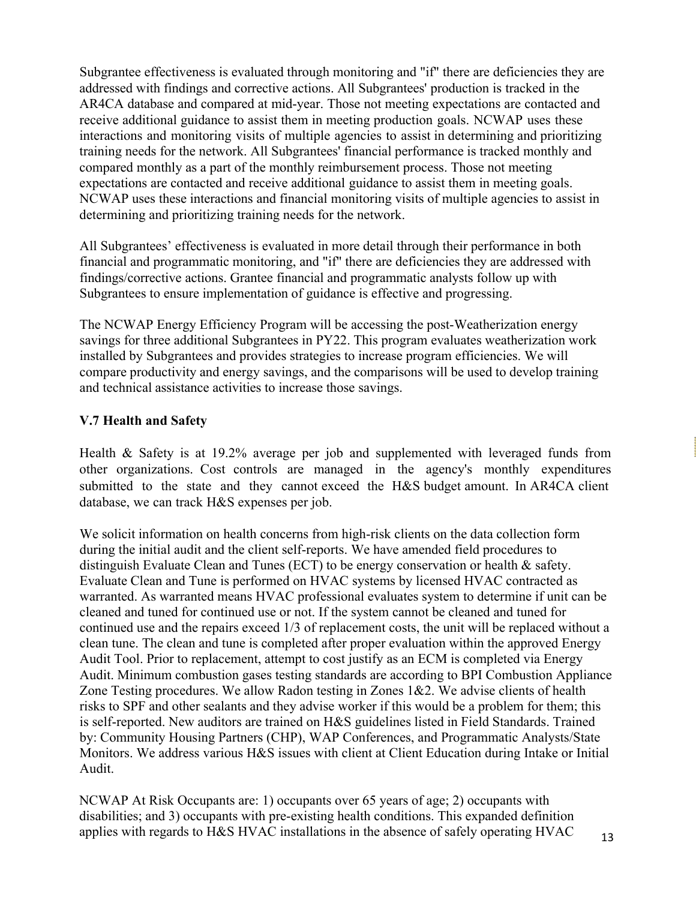Subgrantee effectiveness is evaluated through monitoring and "if" there are deficiencies they are addressed with findings and corrective actions. All Subgrantees' production is tracked in the AR4CA database and compared at mid-year. Those not meeting expectations are contacted and receive additional guidance to assist them in meeting production goals. NCWAP uses these interactions and monitoring visits of multiple agencies to assist in determining and prioritizing training needs for the network. All Subgrantees' financial performance is tracked monthly and compared monthly as a part of the monthly reimbursement process. Those not meeting expectations are contacted and receive additional guidance to assist them in meeting goals. NCWAP uses these interactions and financial monitoring visits of multiple agencies to assist in determining and prioritizing training needs for the network.

All Subgrantees' effectiveness is evaluated in more detail through their performance in both financial and programmatic monitoring, and "if" there are deficiencies they are addressed with findings/corrective actions. Grantee financial and programmatic analysts follow up with Subgrantees to ensure implementation of guidance is effective and progressing.

The NCWAP Energy Efficiency Program will be accessing the post-Weatherization energy savings for three additional Subgrantees in PY22. This program evaluates weatherization work installed by Subgrantees and provides strategies to increase program efficiencies. We will compare productivity and energy savings, and the comparisons will be used to develop training and technical assistance activities to increase those savings.

# **V.7 Health and Safety**

Health & Safety is at 19.2% average per job and supplemented with leveraged funds from other organizations. Cost controls are managed in the agency's monthly expenditures submitted to the state and they cannot exceed the H&S budget amount. In AR4CA client database, we can track H&S expenses per job.

We solicit information on health concerns from high-risk clients on the data collection form during the initial audit and the client self-reports. We have amended field procedures to distinguish Evaluate Clean and Tunes (ECT) to be energy conservation or health & safety. Evaluate Clean and Tune is performed on HVAC systems by licensed HVAC contracted as warranted. As warranted means HVAC professional evaluates system to determine if unit can be cleaned and tuned for continued use or not. If the system cannot be cleaned and tuned for continued use and the repairs exceed 1/3 of replacement costs, the unit will be replaced without a clean tune. The clean and tune is completed after proper evaluation within the approved Energy Audit Tool. Prior to replacement, attempt to cost justify as an ECM is completed via Energy Audit. Minimum combustion gases testing standards are according to BPI Combustion Appliance Zone Testing procedures. We allow Radon testing in Zones 1&2. We advise clients of health risks to SPF and other sealants and they advise worker if this would be a problem for them; this is self-reported. New auditors are trained on H&S guidelines listed in Field Standards. Trained by: Community Housing Partners (CHP), WAP Conferences, and Programmatic Analysts/State Monitors. We address various H&S issues with client at Client Education during Intake or Initial Audit.

NCWAP At Risk Occupants are: 1) occupants over 65 years of age; 2) occupants with disabilities; and 3) occupants with pre-existing health conditions. This expanded definition applies with regards to H&S HVAC installations in the absence of safely operating HVAC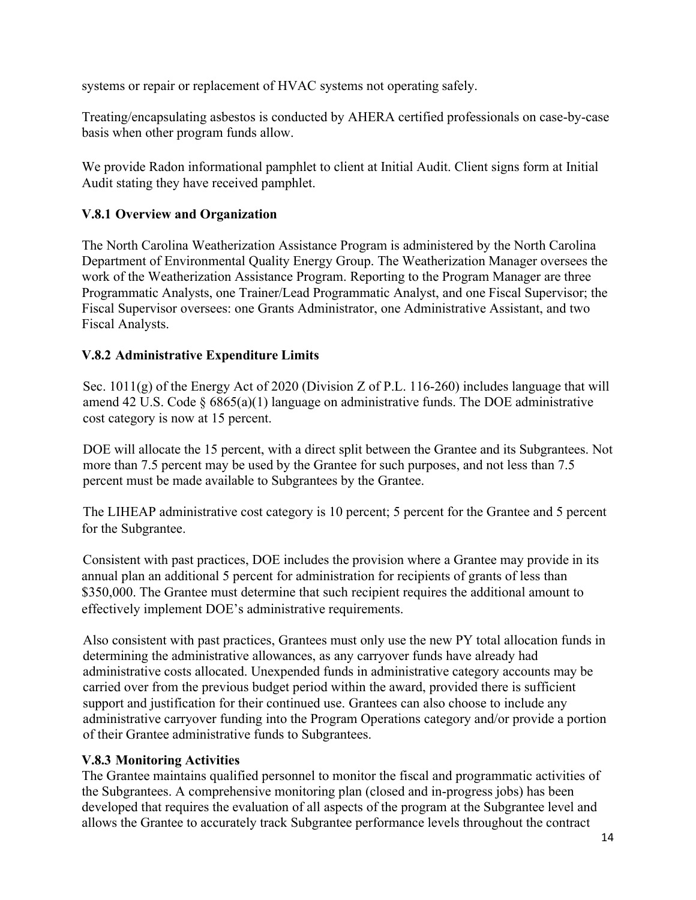systems or repair or replacement of HVAC systems not operating safely.

Treating/encapsulating asbestos is conducted by AHERA certified professionals on case-by-case basis when other program funds allow.

We provide Radon informational pamphlet to client at Initial Audit. Client signs form at Initial Audit stating they have received pamphlet.

# **V.8.1 Overview and Organization**

The North Carolina Weatherization Assistance Program is administered by the North Carolina Department of Environmental Quality Energy Group. The Weatherization Manager oversees the work of the Weatherization Assistance Program. Reporting to the Program Manager are three Programmatic Analysts, one Trainer/Lead Programmatic Analyst, and one Fiscal Supervisor; the Fiscal Supervisor oversees: one Grants Administrator, one Administrative Assistant, and two Fiscal Analysts.

# **V.8.2 Administrative Expenditure Limits**

Sec. 1011(g) of the Energy Act of 2020 (Division Z of P.L. 116-260) includes language that will amend 42 U.S. Code  $\S$  6865(a)(1) language on administrative funds. The DOE administrative cost category is now at 15 percent.

DOE will allocate the 15 percent, with a direct split between the Grantee and its Subgrantees. Not more than 7.5 percent may be used by the Grantee for such purposes, and not less than 7.5 percent must be made available to Subgrantees by the Grantee.

The LIHEAP administrative cost category is 10 percent; 5 percent for the Grantee and 5 percent for the Subgrantee.

Consistent with past practices, DOE includes the provision where a Grantee may provide in its annual plan an additional 5 percent for administration for recipients of grants of less than \$350,000. The Grantee must determine that such recipient requires the additional amount to effectively implement DOE's administrative requirements.

Also consistent with past practices, Grantees must only use the new PY total allocation funds in determining the administrative allowances, as any carryover funds have already had administrative costs allocated. Unexpended funds in administrative category accounts may be carried over from the previous budget period within the award, provided there is sufficient support and justification for their continued use. Grantees can also choose to include any administrative carryover funding into the Program Operations category and/or provide a portion of their Grantee administrative funds to Subgrantees.

# **V.8.3 Monitoring Activities**

The Grantee maintains qualified personnel to monitor the fiscal and programmatic activities of the Subgrantees. A comprehensive monitoring plan (closed and in-progress jobs) has been developed that requires the evaluation of all aspects of the program at the Subgrantee level and allows the Grantee to accurately track Subgrantee performance levels throughout the contract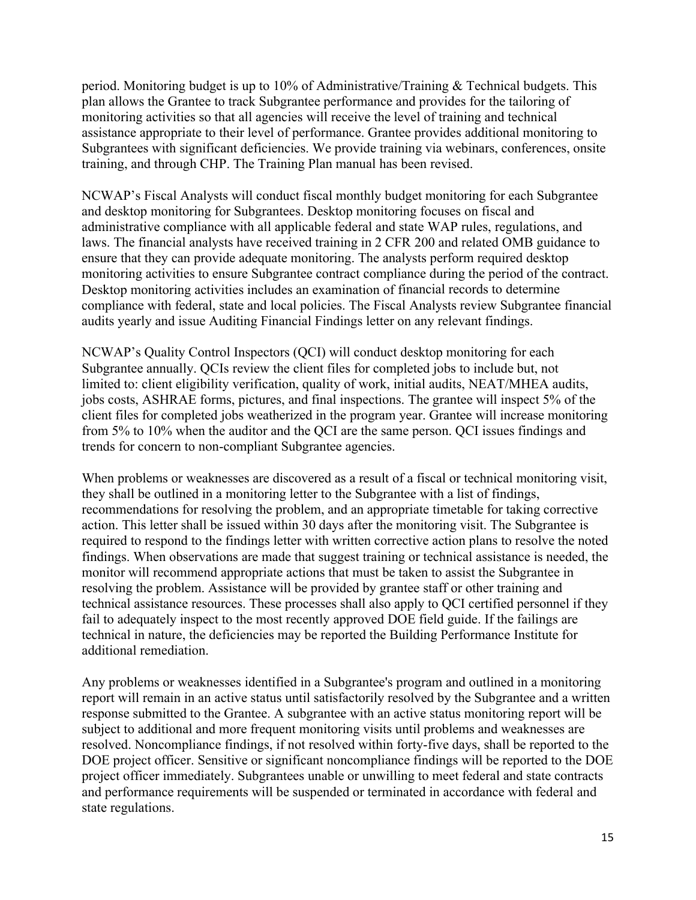period. Monitoring budget is up to 10% of Administrative/Training & Technical budgets. This plan allows the Grantee to track Subgrantee performance and provides for the tailoring of monitoring activities so that all agencies will receive the level of training and technical assistance appropriate to their level of performance. Grantee provides additional monitoring to Subgrantees with significant deficiencies. We provide training via webinars, conferences, onsite training, and through CHP. The Training Plan manual has been revised.

NCWAP's Fiscal Analysts will conduct fiscal monthly budget monitoring for each Subgrantee and desktop monitoring for Subgrantees. Desktop monitoring focuses on fiscal and administrative compliance with all applicable federal and state WAP rules, regulations, and laws. The financial analysts have received training in 2 CFR 200 and related OMB guidance to ensure that they can provide adequate monitoring. The analysts perform required desktop monitoring activities to ensure Subgrantee contract compliance during the period of the contract. Desktop monitoring activities includes an examination of financial records to determine compliance with federal, state and local policies. The Fiscal Analysts review Subgrantee financial audits yearly and issue Auditing Financial Findings letter on any relevant findings.

NCWAP's Quality Control Inspectors (QCI) will conduct desktop monitoring for each Subgrantee annually. QCIs review the client files for completed jobs to include but, not limited to: client eligibility verification, quality of work, initial audits, NEAT/MHEA audits, jobs costs, ASHRAE forms, pictures, and final inspections. The grantee will inspect 5% of the client files for completed jobs weatherized in the program year. Grantee will increase monitoring from 5% to 10% when the auditor and the QCI are the same person. QCI issues findings and trends for concern to non-compliant Subgrantee agencies.

When problems or weaknesses are discovered as a result of a fiscal or technical monitoring visit, they shall be outlined in a monitoring letter to the Subgrantee with a list of findings, recommendations for resolving the problem, and an appropriate timetable for taking corrective action. This letter shall be issued within 30 days after the monitoring visit. The Subgrantee is required to respond to the findings letter with written corrective action plans to resolve the noted findings. When observations are made that suggest training or technical assistance is needed, the monitor will recommend appropriate actions that must be taken to assist the Subgrantee in resolving the problem. Assistance will be provided by grantee staff or other training and technical assistance resources. These processes shall also apply to QCI certified personnel if they fail to adequately inspect to the most recently approved DOE field guide. If the failings are technical in nature, the deficiencies may be reported the Building Performance Institute for additional remediation.

Any problems or weaknesses identified in a Subgrantee's program and outlined in a monitoring report will remain in an active status until satisfactorily resolved by the Subgrantee and a written response submitted to the Grantee. A subgrantee with an active status monitoring report will be subject to additional and more frequent monitoring visits until problems and weaknesses are resolved. Noncompliance findings, if not resolved within forty-five days, shall be reported to the DOE project officer. Sensitive or significant noncompliance findings will be reported to the DOE project officer immediately. Subgrantees unable or unwilling to meet federal and state contracts and performance requirements will be suspended or terminated in accordance with federal and state regulations.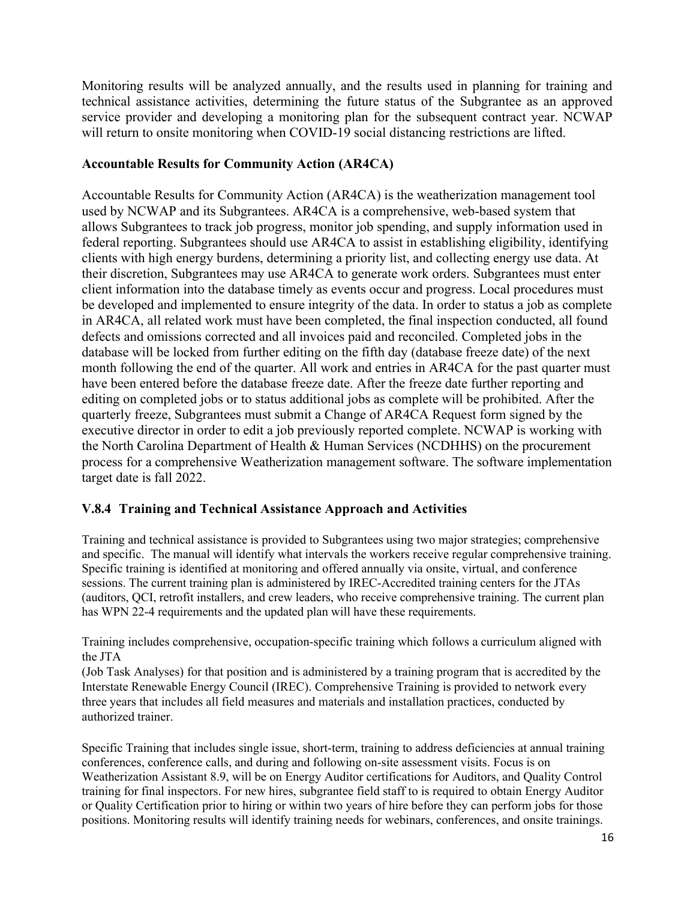Monitoring results will be analyzed annually, and the results used in planning for training and technical assistance activities, determining the future status of the Subgrantee as an approved service provider and developing a monitoring plan for the subsequent contract year. NCWAP will return to onsite monitoring when COVID-19 social distancing restrictions are lifted.

#### **Accountable Results for Community Action (AR4CA)**

Accountable Results for Community Action (AR4CA) is the weatherization management tool used by NCWAP and its Subgrantees. AR4CA is a comprehensive, web-based system that allows Subgrantees to track job progress, monitor job spending, and supply information used in federal reporting. Subgrantees should use AR4CA to assist in establishing eligibility, identifying clients with high energy burdens, determining a priority list, and collecting energy use data. At their discretion, Subgrantees may use AR4CA to generate work orders. Subgrantees must enter client information into the database timely as events occur and progress. Local procedures must be developed and implemented to ensure integrity of the data. In order to status a job as complete in AR4CA, all related work must have been completed, the final inspection conducted, all found defects and omissions corrected and all invoices paid and reconciled. Completed jobs in the database will be locked from further editing on the fifth day (database freeze date) of the next month following the end of the quarter. All work and entries in AR4CA for the past quarter must have been entered before the database freeze date. After the freeze date further reporting and editing on completed jobs or to status additional jobs as complete will be prohibited. After the quarterly freeze, Subgrantees must submit a Change of AR4CA Request form signed by the executive director in order to edit a job previously reported complete. NCWAP is working with the North Carolina Department of Health & Human Services (NCDHHS) on the procurement process for a comprehensive Weatherization management software. The software implementation target date is fall 2022.

# **V.8.4 Training and Technical Assistance Approach and Activities**

Training and technical assistance is provided to Subgrantees using two major strategies; comprehensive and specific. The manual will identify what intervals the workers receive regular comprehensive training. Specific training is identified at monitoring and offered annually via onsite, virtual, and conference sessions. The current training plan is administered by IREC-Accredited training centers for the JTAs (auditors, QCI, retrofit installers, and crew leaders, who receive comprehensive training. The current plan has WPN 22-4 requirements and the updated plan will have these requirements.

Training includes comprehensive, occupation-specific training which follows a curriculum aligned with the JTA

(Job Task Analyses) for that position and is administered by a training program that is accredited by the Interstate Renewable Energy Council (IREC). Comprehensive Training is provided to network every three years that includes all field measures and materials and installation practices, conducted by authorized trainer.

Specific Training that includes single issue, short-term, training to address deficiencies at annual training conferences, conference calls, and during and following on-site assessment visits. Focus is on Weatherization Assistant 8.9, will be on Energy Auditor certifications for Auditors, and Quality Control training for final inspectors. For new hires, subgrantee field staff to is required to obtain Energy Auditor or Quality Certification prior to hiring or within two years of hire before they can perform jobs for those positions. Monitoring results will identify training needs for webinars, conferences, and onsite trainings.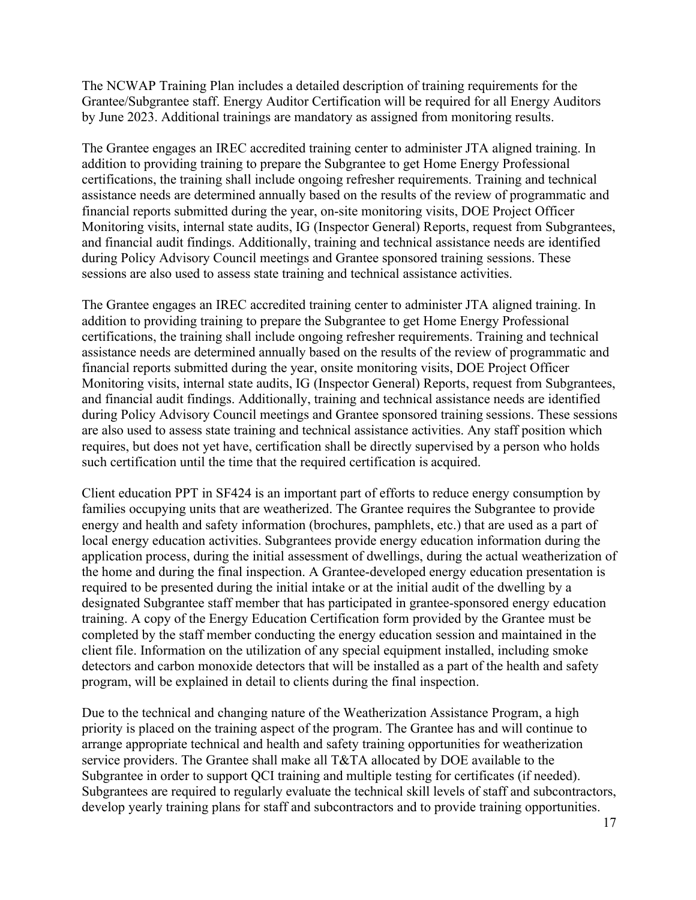The NCWAP Training Plan includes a detailed description of training requirements for the Grantee/Subgrantee staff. Energy Auditor Certification will be required for all Energy Auditors by June 2023. Additional trainings are mandatory as assigned from monitoring results.

The Grantee engages an IREC accredited training center to administer JTA aligned training. In addition to providing training to prepare the Subgrantee to get Home Energy Professional certifications, the training shall include ongoing refresher requirements. Training and technical assistance needs are determined annually based on the results of the review of programmatic and financial reports submitted during the year, on-site monitoring visits, DOE Project Officer Monitoring visits, internal state audits, IG (Inspector General) Reports, request from Subgrantees, and financial audit findings. Additionally, training and technical assistance needs are identified during Policy Advisory Council meetings and Grantee sponsored training sessions. These sessions are also used to assess state training and technical assistance activities.

The Grantee engages an IREC accredited training center to administer JTA aligned training. In addition to providing training to prepare the Subgrantee to get Home Energy Professional certifications, the training shall include ongoing refresher requirements. Training and technical assistance needs are determined annually based on the results of the review of programmatic and financial reports submitted during the year, onsite monitoring visits, DOE Project Officer Monitoring visits, internal state audits, IG (Inspector General) Reports, request from Subgrantees, and financial audit findings. Additionally, training and technical assistance needs are identified during Policy Advisory Council meetings and Grantee sponsored training sessions. These sessions are also used to assess state training and technical assistance activities. Any staff position which requires, but does not yet have, certification shall be directly supervised by a person who holds such certification until the time that the required certification is acquired.

Client education PPT in SF424 is an important part of efforts to reduce energy consumption by families occupying units that are weatherized. The Grantee requires the Subgrantee to provide energy and health and safety information (brochures, pamphlets, etc.) that are used as a part of local energy education activities. Subgrantees provide energy education information during the application process, during the initial assessment of dwellings, during the actual weatherization of the home and during the final inspection. A Grantee-developed energy education presentation is required to be presented during the initial intake or at the initial audit of the dwelling by a designated Subgrantee staff member that has participated in grantee-sponsored energy education training. A copy of the Energy Education Certification form provided by the Grantee must be completed by the staff member conducting the energy education session and maintained in the client file. Information on the utilization of any special equipment installed, including smoke detectors and carbon monoxide detectors that will be installed as a part of the health and safety program, will be explained in detail to clients during the final inspection.

Due to the technical and changing nature of the Weatherization Assistance Program, a high priority is placed on the training aspect of the program. The Grantee has and will continue to arrange appropriate technical and health and safety training opportunities for weatherization service providers. The Grantee shall make all T&TA allocated by DOE available to the Subgrantee in order to support QCI training and multiple testing for certificates (if needed). Subgrantees are required to regularly evaluate the technical skill levels of staff and subcontractors, develop yearly training plans for staff and subcontractors and to provide training opportunities.